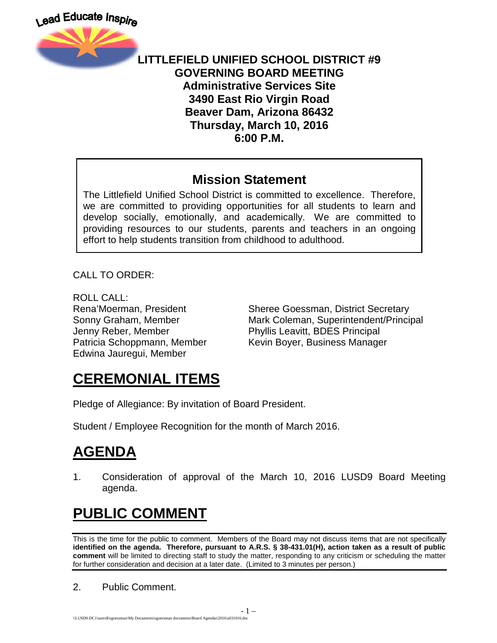

#### **LITTLEFIELD UNIFIED SCHOOL DISTRICT #9 GOVERNING BOARD MEETING Administrative Services Site 3490 East Rio Virgin Road Beaver Dam, Arizona 86432 Thursday, March 10, 2016 6:00 P.M.**

#### **Mission Statement**

The Littlefield Unified School District is committed to excellence. Therefore, we are committed to providing opportunities for all students to learn and develop socially, emotionally, and academically. We are committed to providing resources to our students, parents and teachers in an ongoing effort to help students transition from childhood to adulthood.

CALL TO ORDER:

ROLL CALL: Jenny Reber, Member Phyllis Leavitt, BDES Principal Edwina Jauregui, Member

Rena'Moerman, President Sheree Goessman, District Secretary Sonny Graham, Member **Mark Coleman, Superintendent/Principal** Patricia Schoppmann, Member Kevin Boyer, Business Manager

## **CEREMONIAL ITEMS**

Pledge of Allegiance: By invitation of Board President.

Student / Employee Recognition for the month of March 2016.

# **AGENDA**

1. Consideration of approval of the March 10, 2016 LUSD9 Board Meeting agenda.

# **PUBLIC COMMENT**

This is the time for the public to comment. Members of the Board may not discuss items that are not specifically **identified on the agenda. Therefore, pursuant to A.R.S. § 38-431.01(H), action taken as a result of public comment** will be limited to directing staff to study the matter, responding to any criticism or scheduling the matter for further consideration and decision at a later date. (Limited to 3 minutes per person.)

2. Public Comment.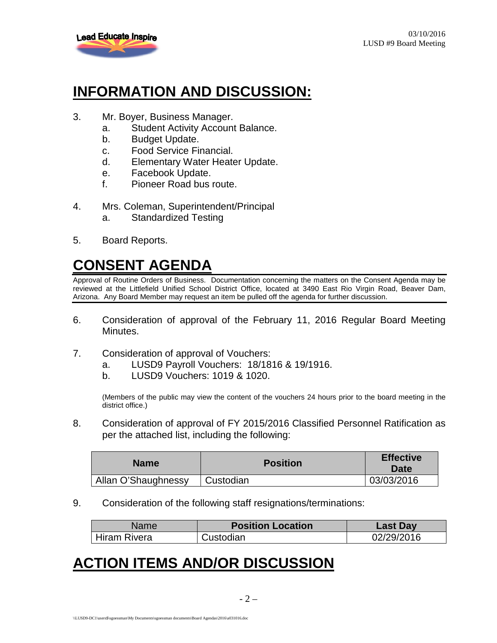

#### **INFORMATION AND DISCUSSION:**

- 3. Mr. Boyer, Business Manager.
	- a. Student Activity Account Balance.
	- b. Budget Update.
	- c. Food Service Financial.
	- d. Elementary Water Heater Update.
	- e. Facebook Update.
	- f. Pioneer Road bus route.
- 4. Mrs. Coleman, Superintendent/Principal a. Standardized Testing
- 5. Board Reports.

## **CONSENT AGENDA**

Approval of Routine Orders of Business. Documentation concerning the matters on the Consent Agenda may be reviewed at the Littlefield Unified School District Office, located at 3490 East Rio Virgin Road, Beaver Dam, Arizona. Any Board Member may request an item be pulled off the agenda for further discussion.

- 6. Consideration of approval of the February 11, 2016 Regular Board Meeting Minutes.
- 7. Consideration of approval of Vouchers:
	- a. LUSD9 Payroll Vouchers: 18/1816 & 19/1916.
	- b. LUSD9 Vouchers: 1019 & 1020.

(Members of the public may view the content of the vouchers 24 hours prior to the board meeting in the district office.)

8. Consideration of approval of FY 2015/2016 Classified Personnel Ratification as per the attached list, including the following:

| <b>Name</b>         | <b>Position</b> | <b>Effective</b><br>Date |
|---------------------|-----------------|--------------------------|
| Allan O'Shaughnessy | Custodian       | 03/03/2016               |

9. Consideration of the following staff resignations/terminations:

| Name         | <b>Position Location</b> | <b>Last Day</b> |
|--------------|--------------------------|-----------------|
| Hiram Rivera | Custodian                | 02/29/2016      |

#### **ACTION ITEMS AND/OR DISCUSSION**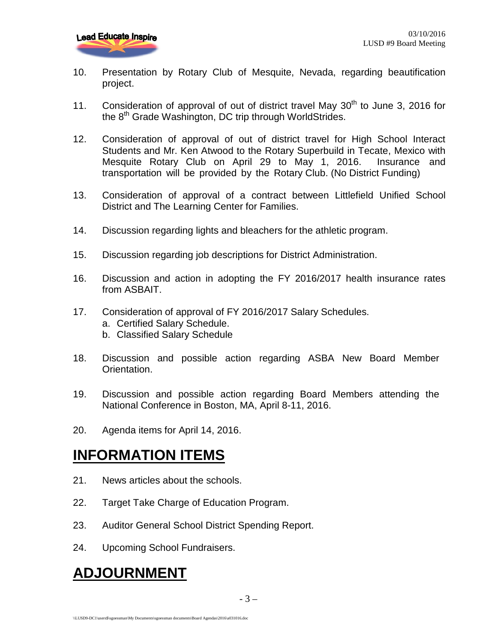- 10. Presentation by Rotary Club of Mesquite, Nevada, regarding beautification project.
- 11. Consideration of approval of out of district travel May  $30<sup>th</sup>$  to June 3, 2016 for the 8<sup>th</sup> Grade Washington, DC trip through WorldStrides.
- 12. Consideration of approval of out of district travel for High School Interact Students and Mr. Ken Atwood to the Rotary Superbuild in Tecate, Mexico with Mesquite Rotary Club on April 29 to May 1, 2016. Insurance and transportation will be provided by the Rotary Club. (No District Funding)
- 13. Consideration of approval of a contract between Littlefield Unified School District and The Learning Center for Families.
- 14. Discussion regarding lights and bleachers for the athletic program.
- 15. Discussion regarding job descriptions for District Administration.
- 16. Discussion and action in adopting the FY 2016/2017 health insurance rates from ASBAIT.
- 17. Consideration of approval of FY 2016/2017 Salary Schedules.
	- a. Certified Salary Schedule.
	- b. Classified Salary Schedule
- 18. Discussion and possible action regarding ASBA New Board Member Orientation.
- 19. Discussion and possible action regarding Board Members attending the National Conference in Boston, MA, April 8-11, 2016.
- 20. Agenda items for April 14, 2016.

#### **INFORMATION ITEMS**

- 21. News articles about the schools.
- 22. Target Take Charge of Education Program.
- 23. Auditor General School District Spending Report.
- 24. Upcoming School Fundraisers.

#### **ADJOURNMENT**